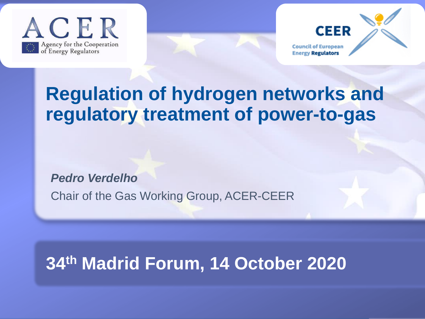





## **Regulation of hydrogen networks and regulatory treatment of power-to-gas**

*Pedro Verdelho*

Chair of the Gas Working Group, ACER-CEER

## **34th Madrid Forum, 14 October 2020**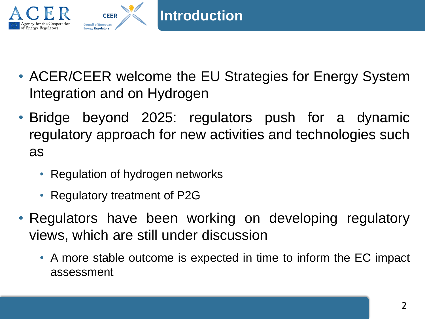

- ACER/CEER welcome the EU Strategies for Energy System Integration and on Hydrogen
- Bridge beyond 2025: regulators push for a dynamic regulatory approach for new activities and technologies such as
	- Regulation of hydrogen networks
	- Regulatory treatment of P2G
- Regulators have been working on developing regulatory views, which are still under discussion
	- A more stable outcome is expected in time to inform the EC impact assessment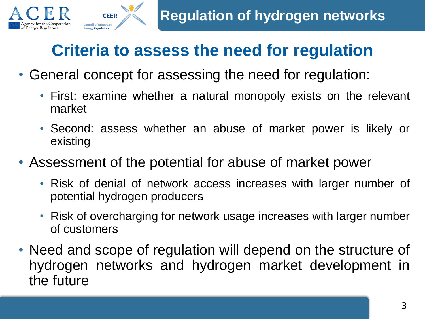

## **Criteria to assess the need for regulation**

• General concept for assessing the need for regulation:

**CEER** 

- First: examine whether a natural monopoly exists on the relevant market
- Second: assess whether an abuse of market power is likely or existing
- Assessment of the potential for abuse of market power
	- Risk of denial of network access increases with larger number of potential hydrogen producers
	- Risk of overcharging for network usage increases with larger number of customers
- Need and scope of regulation will depend on the structure of hydrogen networks and hydrogen market development in the future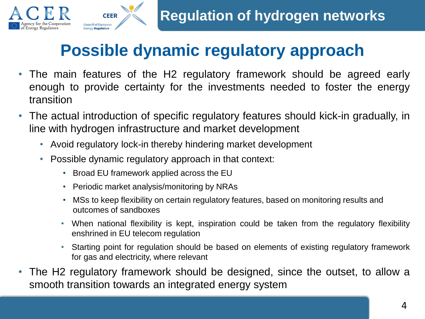



## **Possible dynamic regulatory approach**

- The main features of the H2 regulatory framework should be agreed early enough to provide certainty for the investments needed to foster the energy transition
- The actual introduction of specific regulatory features should kick-in gradually, in line with hydrogen infrastructure and market development
	- Avoid regulatory lock-in thereby hindering market development
	- Possible dynamic regulatory approach in that context:
		- Broad EU framework applied across the EU
		- Periodic market analysis/monitoring by NRAs
		- MSs to keep flexibility on certain regulatory features, based on monitoring results and outcomes of sandboxes
		- When national flexibility is kept, inspiration could be taken from the regulatory flexibility enshrined in EU telecom regulation
		- Starting point for regulation should be based on elements of existing regulatory framework for gas and electricity, where relevant
- The H2 regulatory framework should be designed, since the outset, to allow a smooth transition towards an integrated energy system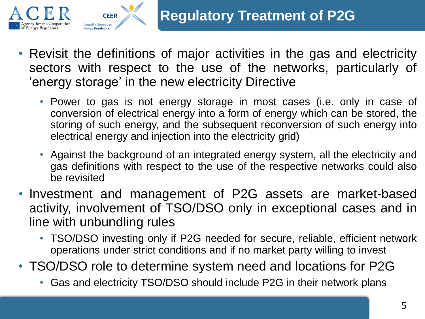

- Revisit the definitions of major activities in the gas and electricity sectors with respect to the use of the networks, particularly of 'energy storage' in the new electricity Directive
	- Power to gas is not energy storage in most cases (i.e. only in case of conversion of electrical energy into a form of energy which can be stored, the storing of such energy, and the subsequent reconversion of such energy into electrical energy and injection into the electricity grid)
	- Against the background of an integrated energy system, all the electricity and gas definitions with respect to the use of the respective networks could also be revisited
- Investment and management of P2G assets are market-based activity, involvement of TSO/DSO only in exceptional cases and in line with unbundling rules
	- TSO/DSO investing only if P2G needed for secure, reliable, efficient network operations under strict conditions and if no market party willing to invest
- TSO/DSO role to determine system need and locations for P2G
	- Gas and electricity TSO/DSO should include P2G in their network plans